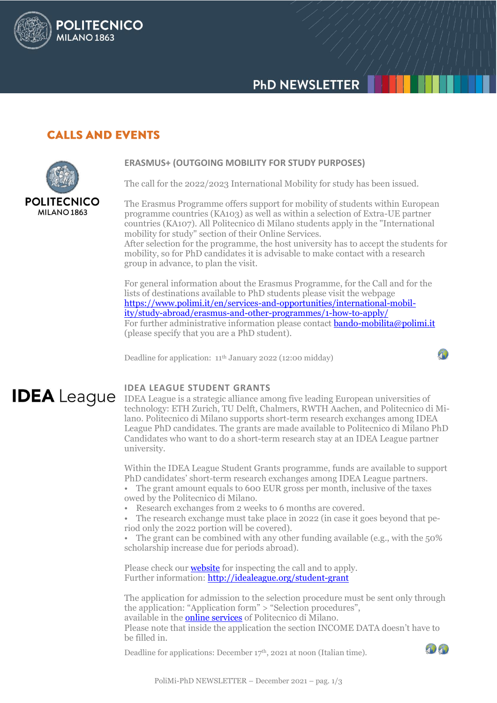# **PHD NEWSLETTER**

## **CALLS AND EVENTS**

**POLITECNICO** 

**MILANO 1863** 



## **ERASMUS+ (OUTGOING MOBILITY FOR STUDY PURPOSES)**

The call for the 2022/2023 International Mobility for study has been issued.

The Erasmus Programme offers support for mobility of students within European programme countries (KA103) as well as within a selection of Extra-UE partner countries (KA107). All Politecnico di Milano students apply in the "International mobility for study" section of their Online Services.

After selection for the programme, the host university has to accept the students for mobility, so for PhD candidates it is advisable to make contact with a research group in advance, to plan the visit.

For general information about the Erasmus Programme, for the Call and for the lists of destinations available to PhD students please visit the webpage [https://www.polimi.it/en/services-and-opportunities/international-mobil](https://www.polimi.it/en/services-and-opportunities/international-mobility/study-abroad/erasmus-and-other-programmes/1-how-to-apply/)[ity/study-abroad/erasmus-and-other-programmes/1-how-to-apply/](https://www.polimi.it/en/services-and-opportunities/international-mobility/study-abroad/erasmus-and-other-programmes/1-how-to-apply/) For further administrative information please contact **bando-mobilita@polimi.it** (please specify that you are a PhD student).

Deadline for application: 11th January 2022 (12:00 midday)

4

## **IDEA LEAGUE STUDENT GRANTS**

**IDEA** League IDEA League is a strategic alliance among five leading European universities of technology: ETH Zurich, TU Delft, Chalmers, RWTH Aachen, and Politecnico di Milano. Politecnico di Milano supports short-term research exchanges among IDEA League PhD candidates. The grants are made available to Politecnico di Milano PhD Candidates who want to do a short-term research stay at an IDEA League partner university.

> Within the IDEA League Student Grants programme, funds are available to support PhD candidates' short-term research exchanges among IDEA League partners.

- The grant amount equals to 600 EUR gross per month, inclusive of the taxes owed by the Politecnico di Milano.
- Research exchanges from 2 weeks to 6 months are covered.
- The research exchange must take place in 2022 (in case it goes beyond that period only the 2022 portion will be covered).

• The grant can be combined with any other funding available (e.g., with the 50% scholarship increase due for periods abroad).

Please check our **[website](http://www.dottorato.polimi.it/en/news-and-deadlines/news/article/23/idea-league-student-grants-587/)** for inspecting the call and to apply. Further information[: http://idealeague.org/student-grant](http://idealeague.org/student-grant) 

The application for admission to the selection procedure must be sent only through the application: "Application form" > "Selection procedures", available in th[e online services](https://www.polimi.it/en/online-services/) of Politecnico di Milano. Please note that inside the application the section INCOME DATA doesn't have to be filled in.

Deadline for applications: December  $17<sup>th</sup>$ , 2021 at noon (Italian time).

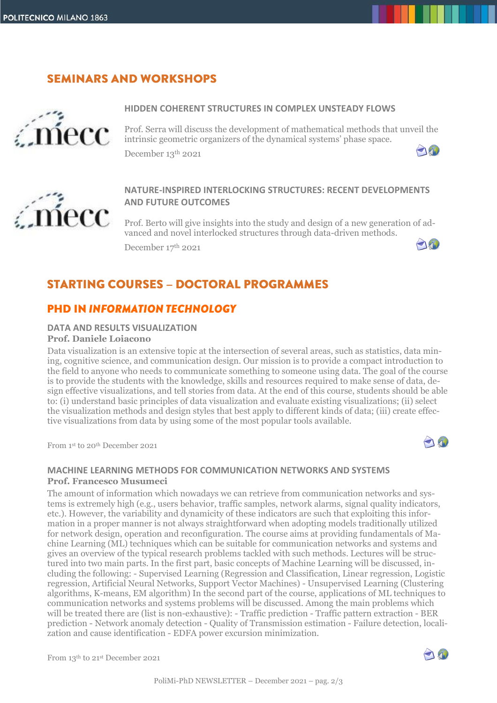# **SEMINARS AND WORKSHOPS**



#### **HIDDEN COHERENT STRUCTURES IN COMPLEX UNSTEADY FLOWS**

Prof. Serra will discuss the development of mathematical methods that unveil the intrinsic geometric organizers of the dynamical systems' phase space. 10 December 13 th 2021



## **NATURE-INSPIRED INTERLOCKING STRUCTURES: RECENT DEVELOPMENTS AND FUTURE OUTCOMES**

Prof. Berto will give insights into the study and design of a new generation of advanced and novel interlocked structures through data-driven methods. 20 December 17 th 2021

## **STARTING COURSES - DOCTORAL PROGRAMMES**

## **PHD IN INFORMATION TECHNOLOGY**

## **DATA AND RESULTS VISUALIZATION**

## **Prof. Daniele Loiacono**

Data visualization is an extensive topic at the intersection of several areas, such as statistics, data mining, cognitive science, and communication design. Our mission is to provide a compact introduction to the field to anyone who needs to communicate something to someone using data. The goal of the course is to provide the students with the knowledge, skills and resources required to make sense of data, design effective visualizations, and tell stories from data. At the end of this course, students should be able to: (i) understand basic principles of data visualization and evaluate existing visualizations; (ii) select the visualization methods and design styles that best apply to different kinds of data; (iii) create effective visualizations from data by using some of the most popular tools available.

From 1st to 20th December 2021



#### **MACHINE LEARNING METHODS FOR COMMUNICATION NETWORKS AND SYSTEMS Prof. Francesco Musumeci**

The amount of information which nowadays we can retrieve from communication networks and systems is extremely high (e.g., users behavior, traffic samples, network alarms, signal quality indicators, etc.). However, the variability and dynamicity of these indicators are such that exploiting this information in a proper manner is not always straightforward when adopting models traditionally utilized for network design, operation and reconfiguration. The course aims at providing fundamentals of Machine Learning (ML) techniques which can be suitable for communication networks and systems and gives an overview of the typical research problems tackled with such methods. Lectures will be structured into two main parts. In the first part, basic concepts of Machine Learning will be discussed, including the following: - Supervised Learning (Regression and Classification, Linear regression, Logistic regression, Artificial Neural Networks, Support Vector Machines) - Unsupervised Learning (Clustering algorithms, K-means, EM algorithm) In the second part of the course, applications of ML techniques to communication networks and systems problems will be discussed. Among the main problems which will be treated there are (list is non-exhaustive): - Traffic prediction - Traffic pattern extraction - BER prediction - Network anomaly detection - Quality of Transmission estimation - Failure detection, localization and cause identification - EDFA power excursion minimization.

From 13<sup>th</sup> to 21<sup>st</sup> December 2021